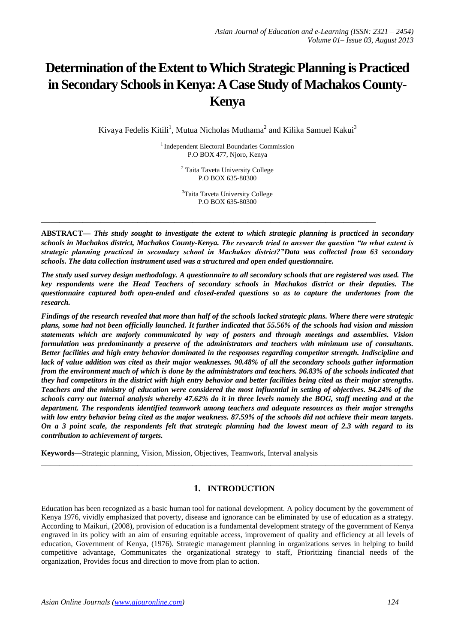# **Determination of the Extent to Which Strategic Planning is Practiced in Secondary Schools in Kenya: A Case Study of Machakos County-Kenya**

Kivaya Fedelis Kitili<sup>1</sup>, Mutua Nicholas Muthama<sup>2</sup> and Kilika Samuel Kakui<sup>3</sup>

<sup>1</sup> Independent Electoral Boundaries Commission P.O BOX 477, Njoro, Kenya

> <sup>2</sup> Taita Taveta University College P.O BOX 635-80300

> <sup>3</sup>Taita Taveta University College P.O BOX 635-80300

**\_\_\_\_\_\_\_\_\_\_\_\_\_\_\_\_\_\_\_\_\_\_\_\_\_\_\_\_\_\_\_\_\_\_\_\_\_\_\_\_\_\_\_\_\_\_\_\_\_\_\_\_\_\_\_\_\_\_\_\_\_\_\_\_\_\_\_\_\_\_\_\_\_**

**ABSTRACT—** *This study sought to investigate the extent to which strategic planning is practiced in secondary schools in Machakos district, Machakos County-Kenya. The research tried to answer the question "to what extent is strategic planning practiced in secondary school in Machakos district?"Data was collected from 63 secondary schools. The data collection instrument used was a structured and open ended questionnaire.* 

*The study used survey design methodology. A questionnaire to all secondary schools that are registered was used. The key respondents were the Head Teachers of secondary schools in Machakos district or their deputies. The questionnaire captured both open-ended and closed-ended questions so as to capture the undertones from the research.*

*Findings of the research revealed that more than half of the schools lacked strategic plans. Where there were strategic plans, some had not been officially launched. It further indicated that 55.56% of the schools had vision and mission statements which are majorly communicated by way of posters and through meetings and assemblies. Vision formulation was predominantly a preserve of the administrators and teachers with minimum use of consultants. Better facilities and high entry behavior dominated in the responses regarding competitor strength. Indiscipline and lack of value addition was cited as their major weaknesses. 90.48% of all the secondary schools gather information from the environment much of which is done by the administrators and teachers. 96.83% of the schools indicated that they had competitors in the district with high entry behavior and better facilities being cited as their major strengths. Teachers and the ministry of education were considered the most influential in setting of objectives. 94.24% of the schools carry out internal analysis whereby 47.62% do it in three levels namely the BOG, staff meeting and at the department. The respondents identified teamwork among teachers and adequate resources as their major strengths with low entry behavior being cited as the major weakness. 87.59% of the schools did not achieve their mean targets. On a 3 point scale, the respondents felt that strategic planning had the lowest mean of 2.3 with regard to its contribution to achievement of targets.*

**Keywords—**Strategic planning, Vision, Mission, Objectives, Teamwork, Interval analysis

# **1. INTRODUCTION**

**\_\_\_\_\_\_\_\_\_\_\_\_\_\_\_\_\_\_\_\_\_\_\_\_\_\_\_\_\_\_\_\_\_\_\_\_\_\_\_\_\_\_\_\_\_\_\_\_\_\_\_\_\_\_\_\_\_\_\_\_\_\_\_\_\_\_\_\_\_\_\_\_\_\_\_\_\_\_\_\_\_**

Education has been recognized as a basic human tool for national development. A policy document by the government of Kenya 1976, vividly emphasized that poverty, disease and ignorance can be eliminated by use of education as a strategy. According to Maikuri, (2008), provision of education is a fundamental development strategy of the government of Kenya engraved in its policy with an aim of ensuring equitable access, improvement of quality and efficiency at all levels of education, Government of Kenya, (1976). Strategic management planning in organizations serves in helping to build competitive advantage, Communicates the organizational strategy to staff, Prioritizing financial needs of the organization, Provides focus and direction to move from plan to action.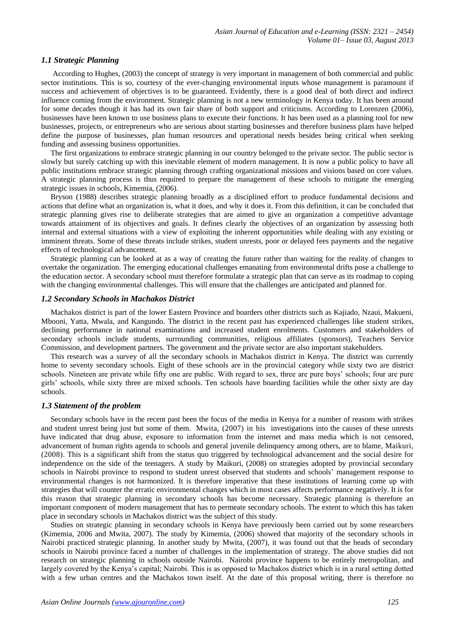# *1.1 Strategic Planning*

According to Hughes, (2003) the concept of strategy is very important in management of both commercial and public sector institutions. This is so, courtesy of the ever-changing environmental inputs whose management is paramount if success and achievement of objectives is to be guaranteed. Evidently, there is a good deal of both direct and indirect influence coming from the environment. Strategic planning is not a new terminology in Kenya today. It has been around for some decades though it has had its own fair share of both support and criticisms. According to Lorenzen (2006), businesses have been known to use business plans to execute their functions. It has been used as a planning tool for new businesses, projects, or entrepreneurs who are serious about starting businesses and therefore business plans have helped define the purpose of businesses, plan human resources and operational needs besides being critical when seeking funding and assessing business opportunities.

The first organizations to embrace strategic planning in our country belonged to the private sector. The public sector is slowly but surely catching up with this inevitable element of modern management. It is now a public policy to have all public institutions embrace strategic planning through crafting organizational missions and visions based on core values. A strategic planning process is thus required to prepare the management of these schools to mitigate the emerging strategic issues in schools, Kimemia, (2006).

Bryson (1988) describes strategic planning broadly as a disciplined effort to produce fundamental decisions and actions that define what an organization is, what it does, and why it does it. From this definition, it can be concluded that strategic planning gives rise to deliberate strategies that are aimed to give an organization a competitive advantage towards attainment of its objectives and goals. It defines clearly the objectives of an organization by assessing both internal and external situations with a view of exploiting the inherent opportunities while dealing with any existing or imminent threats. Some of these threats include strikes, student unrests, poor or delayed fees payments and the negative effects of technological advancement.

Strategic planning can be looked at as a way of creating the future rather than waiting for the reality of changes to overtake the organization. The emerging educational challenges emanating from environmental drifts pose a challenge to the education sector. A secondary school must therefore formulate a strategic plan that can serve as its roadmap to coping with the changing environmental challenges. This will ensure that the challenges are anticipated and planned for.

# *1.2 Secondary Schools in Machakos District*

Machakos district is part of the lower Eastern Province and boarders other districts such as Kajiado, Nzaui, Makueni, Mbooni, Yatta, Mwala, and Kangundo. The district in the recent past has experienced challenges like student strikes, declining performance in national examinations and increased student enrolments. Customers and stakeholders of secondary schools include students, surrounding communities, religious affiliates (sponsors), Teachers Service Commission, and development partners. The government and the private sector are also important stakeholders.

This research was a survey of all the secondary schools in Machakos district in Kenya. The district was currently home to seventy secondary schools. Eight of these schools are in the provincial category while sixty two are district schools. Nineteen are private while fifty one are public. With regard to sex, three are pure boys" schools; four are pure girls" schools, while sixty three are mixed schools. Ten schools have boarding facilities while the other sixty are day schools.

#### *1.3 Statement of the problem*

Secondary schools have in the recent past been the focus of the media in Kenya for a number of reasons with strikes and student unrest being just but some of them. Mwita, (2007) in his investigations into the causes of these unrests have indicated that drug abuse, exposure to information from the internet and mass media which is not censored, advancement of human rights agenda to schools and general juvenile delinquency among others, are to blame, Maikuri, (2008). This is a significant shift from the status quo triggered by technological advancement and the social desire for independence on the side of the teenagers. A study by Maikuri, (2008) on strategies adopted by provincial secondary schools in Nairobi province to respond to student unrest observed that students and schools" management response to environmental changes is not harmonized. It is therefore imperative that these institutions of learning come up with strategies that will counter the erratic environmental changes which in most cases affects performance negatively. It is for this reason that strategic planning in secondary schools has become necessary. Strategic planning is therefore an important component of modern management that has to permeate secondary schools. The extent to which this has taken place in secondary schools in Machakos district was the subject of this study.

Studies on strategic planning in secondary schools in Kenya have previously been carried out by some researchers (Kimemia, 2006 and Mwita, 2007). The study by Kimemia, (2006) showed that majority of the secondary schools in Nairobi practiced strategic planning. In another study by Mwita, (2007), it was found out that the heads of secondary schools in Nairobi province faced a number of challenges in the implementation of strategy. The above studies did not research on strategic planning in schools outside Nairobi. Nairobi province happens to be entirely metropolitan, and largely covered by the Kenya"s capital; Nairobi. This is as opposed to Machakos district which is in a rural setting dotted with a few urban centres and the Machakos town itself. At the date of this proposal writing, there is therefore no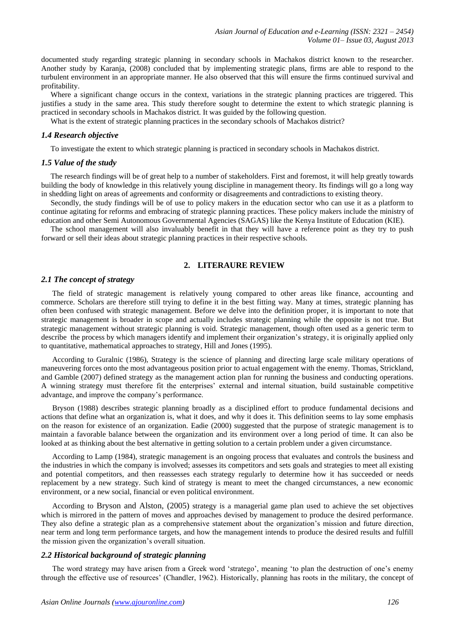documented study regarding strategic planning in secondary schools in Machakos district known to the researcher. Another study by Karanja, (2008) concluded that by implementing strategic plans, firms are able to respond to the turbulent environment in an appropriate manner. He also observed that this will ensure the firms continued survival and profitability.

Where a significant change occurs in the context, variations in the strategic planning practices are triggered. This justifies a study in the same area. This study therefore sought to determine the extent to which strategic planning is practiced in secondary schools in Machakos district. It was guided by the following question.

What is the extent of strategic planning practices in the secondary schools of Machakos district?

#### *1.4 Research objective*

To investigate the extent to which strategic planning is practiced in secondary schools in Machakos district.

## *1.5 Value of the study*

The research findings will be of great help to a number of stakeholders. First and foremost, it will help greatly towards building the body of knowledge in this relatively young discipline in management theory. Its findings will go a long way in shedding light on areas of agreements and conformity or disagreements and contradictions to existing theory.

Secondly, the study findings will be of use to policy makers in the education sector who can use it as a platform to continue agitating for reforms and embracing of strategic planning practices. These policy makers include the ministry of education and other Semi Autonomous Governmental Agencies (SAGAS) like the Kenya Institute of Education (KIE).

The school management will also invaluably benefit in that they will have a reference point as they try to push forward or sell their ideas about strategic planning practices in their respective schools.

# **2. LITERAURE REVIEW**

# *2.1 The concept of strategy*

The field of strategic management is relatively young compared to other areas like finance, accounting and commerce. Scholars are therefore still trying to define it in the best fitting way. Many at times, strategic planning has often been confused with strategic management. Before we delve into the definition proper, it is important to note that strategic management is broader in scope and actually includes strategic planning while the opposite is not true. But strategic management without strategic planning is void. Strategic management, though often used as a generic term to describe the process by which managers identify and implement their organization"s strategy, it is originally applied only to quantitative, mathematical approaches to strategy, Hill and Jones (1995).

According to Guralnic (1986), Strategy is the science of planning and directing large scale military operations of maneuvering forces onto the most advantageous position prior to actual engagement with the enemy. Thomas, Strickland, and Gamble (2007) defined strategy as the management action plan for running the business and conducting operations. A winning strategy must therefore fit the enterprises" external and internal situation, build sustainable competitive advantage, and improve the company"s performance.

Bryson (1988) describes strategic planning broadly as a disciplined effort to produce fundamental decisions and actions that define what an organization is, what it does, and why it does it. This definition seems to lay some emphasis on the reason for existence of an organization. Eadie (2000) suggested that the purpose of strategic management is to maintain a favorable balance between the organization and its environment over a long period of time. It can also be looked at as thinking about the best alternative in getting solution to a certain problem under a given circumstance.

According to Lamp (1984), strategic management is an ongoing process that evaluates and controls the business and the industries in which the company is involved; assesses its competitors and sets goals and strategies to meet all existing and potential competitors, and then reassesses each strategy regularly to determine how it has succeeded or needs replacement by a new strategy. Such kind of strategy is meant to meet the changed circumstances, a new economic environment, or a new social, financial or even political environment.

According to Bryson and Alston, (2005) strategy is a managerial game plan used to achieve the set objectives which is mirrored in the pattern of moves and approaches devised by management to produce the desired performance. They also define a strategic plan as a comprehensive statement about the organization"s mission and future direction, near term and long term performance targets, and how the management intends to produce the desired results and fulfill the mission given the organization's overall situation.

# *2.2 Historical background of strategic planning*

The word strategy may have arisen from a Greek word 'stratego', meaning 'to plan the destruction of one's enemy through the effective use of resources" (Chandler, 1962). Historically, planning has roots in the military, the concept of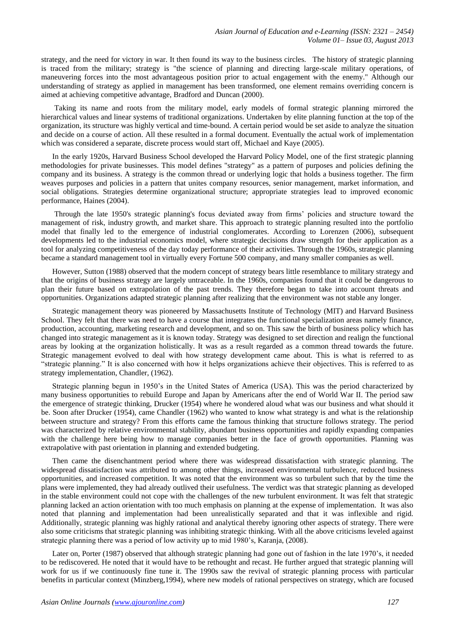strategy, and the need for victory in war. It then found its way to the business circles. The history of strategic planning is traced from the military; strategy is "the science of planning and directing large-scale military operations, of maneuvering forces into the most advantageous position prior to actual engagement with the enemy." Although our understanding of strategy as applied in management has been transformed, one element remains overriding concern is aimed at achieving competitive advantage, Bradford and Duncan (2000).

Taking its name and roots from the military model, early models of formal strategic planning mirrored the hierarchical values and linear systems of traditional organizations. Undertaken by elite planning function at the top of the organization, its structure was highly vertical and time-bound. A certain period would be set aside to analyze the situation and decide on a course of action. All these resulted in a formal document. Eventually the actual work of implementation which was considered a separate, discrete process would start off, Michael and Kaye (2005).

In the early 1920s, Harvard Business School developed the Harvard Policy Model, one of the first strategic planning methodologies for private businesses. This model defines "strategy" as a pattern of purposes and policies defining the company and its business. A strategy is the common thread or underlying logic that holds a business together. The firm weaves purposes and policies in a pattern that unites company resources, senior management, market information, and social obligations. Strategies determine organizational structure; appropriate strategies lead to improved economic performance, Haines (2004).

Through the late 1950's strategic planning's focus deviated away from firms" policies and structure toward the management of risk, industry growth, and market share. This approach to strategic planning resulted into the portfolio model that finally led to the emergence of industrial conglomerates. According to Lorenzen (2006), subsequent developments led to the industrial economics model, where strategic decisions draw strength for their application as a tool for analyzing competitiveness of the day today performance of their activities. Through the 1960s, strategic planning became a standard management tool in virtually every Fortune 500 company, and many smaller companies as well.

However, Sutton (1988) observed that the modern concept of strategy bears little resemblance to military strategy and that the origins of business strategy are largely untraceable. In the 1960s, companies found that it could be dangerous to plan their future based on extrapolation of the past trends. They therefore began to take into account threats and opportunities. Organizations adapted strategic planning after realizing that the environment was not stable any longer.

Strategic management theory was pioneered by Massachusetts Institute of Technology (MIT) and Harvard Business School. They felt that there was need to have a course that integrates the functional specialization areas namely finance, production, accounting, marketing research and development, and so on. This saw the birth of business policy which has changed into strategic management as it is known today. Strategy was designed to set direction and realign the functional areas by looking at the organization holistically. It was as a result regarded as a common thread towards the future. Strategic management evolved to deal with how strategy development came about. This is what is referred to as "strategic planning." It is also concerned with how it helps organizations achieve their objectives. This is referred to as strategy implementation, Chandler, (1962).

Strategic planning begun in 1950"s in the United States of America (USA). This was the period characterized by many business opportunities to rebuild Europe and Japan by Americans after the end of World War II. The period saw the emergence of strategic thinking, Drucker (1954) where he wondered aloud what was our business and what should it be. Soon after Drucker (1954), came Chandler (1962) who wanted to know what strategy is and what is the relationship between structure and strategy? From this efforts came the famous thinking that structure follows strategy. The period was characterized by relative environmental stability, abundant business opportunities and rapidly expanding companies with the challenge here being how to manage companies better in the face of growth opportunities. Planning was extrapolative with past orientation in planning and extended budgeting.

Then came the disenchantment period where there was widespread dissatisfaction with strategic planning. The widespread dissatisfaction was attributed to among other things, increased environmental turbulence, reduced business opportunities, and increased competition. It was noted that the environment was so turbulent such that by the time the plans were implemented, they had already outlived their usefulness. The verdict was that strategic planning as developed in the stable environment could not cope with the challenges of the new turbulent environment. It was felt that strategic planning lacked an action orientation with too much emphasis on planning at the expense of implementation. It was also noted that planning and implementation had been unrealistically separated and that it was inflexible and rigid. Additionally, strategic planning was highly rational and analytical thereby ignoring other aspects of strategy. There were also some criticisms that strategic planning was inhibiting strategic thinking. With all the above criticisms leveled against strategic planning there was a period of low activity up to mid 1980"s, Karanja, (2008).

Later on, Porter (1987) observed that although strategic planning had gone out of fashion in the late 1970"s, it needed to be rediscovered. He noted that it would have to be rethought and recast. He further argued that strategic planning will work for us if we continuously fine tune it. The 1990s saw the revival of strategic planning process with particular benefits in particular context (Minzberg,1994), where new models of rational perspectives on strategy, which are focused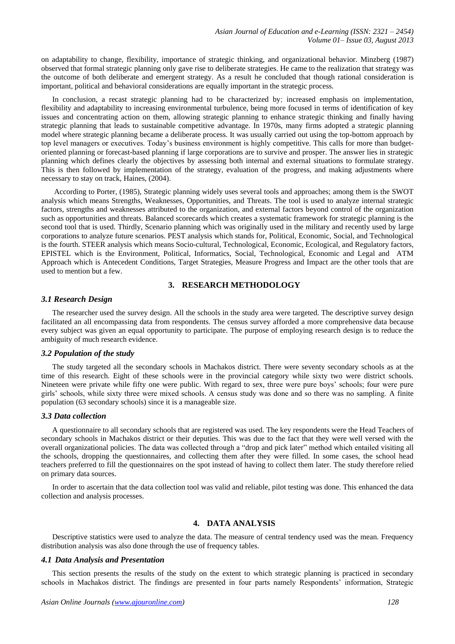on adaptability to change, flexibility, importance of strategic thinking, and organizational behavior. Minzberg (1987) observed that formal strategic planning only gave rise to deliberate strategies. He came to the realization that strategy was the outcome of both deliberate and emergent strategy. As a result he concluded that though rational consideration is important, political and behavioral considerations are equally important in the strategic process.

In conclusion, a recast strategic planning had to be characterized by; increased emphasis on implementation, flexibility and adaptability to increasing environmental turbulence, being more focused in terms of identification of key issues and concentrating action on them, allowing strategic planning to enhance strategic thinking and finally having strategic planning that leads to sustainable competitive advantage. In 1970s, many firms adopted a strategic planning model where strategic planning became a deliberate process. It was usually carried out using the top-bottom approach by top level managers or executives. Today"s business environment is highly competitive. This calls for more than budgetoriented planning or forecast-based planning if large corporations are to survive and prosper. The answer lies in strategic planning which defines clearly the objectives by assessing both internal and external situations to formulate strategy. This is then followed by implementation of the strategy, evaluation of the progress, and making adjustments where necessary to stay on track, Haines, (2004).

According to Porter, (1985), Strategic planning widely uses several tools and approaches; among them is the SWOT analysis which means Strengths, Weaknesses, Opportunities, and Threats. The tool is used to analyze internal strategic factors, strengths and weaknesses attributed to the organization, and external factors beyond control of the organization such as opportunities and threats. Balanced scorecards which creates a systematic framework for strategic planning is the second tool that is used. Thirdly, Scenario planning which was originally used in the military and recently used by large corporations to analyze future scenarios. PEST analysis which stands for, Political, Economic, Social, and Technological is the fourth. STEER analysis which means Socio-cultural, Technological, Economic, Ecological, and Regulatory factors, EPISTEL which is the Environment, Political, Informatics, Social, Technological, Economic and Legal and ATM Approach which is Antecedent Conditions, Target Strategies, Measure Progress and Impact are the other tools that are used to mention but a few.

# **3. RESEARCH METHODOLOGY**

## *3.1 Research Design*

The researcher used the survey design. All the schools in the study area were targeted. The descriptive survey design facilitated an all encompassing data from respondents. The census survey afforded a more comprehensive data because every subject was given an equal opportunity to participate. The purpose of employing research design is to reduce the ambiguity of much research evidence.

#### *3.2 Population of the study*

The study targeted all the secondary schools in Machakos district. There were seventy secondary schools as at the time of this research. Eight of these schools were in the provincial category while sixty two were district schools. Nineteen were private while fifty one were public. With regard to sex, three were pure boys" schools; four were pure girls" schools, while sixty three were mixed schools. A census study was done and so there was no sampling. A finite population (63 secondary schools) since it is a manageable size.

#### *3.3 Data collection*

A questionnaire to all secondary schools that are registered was used. The key respondents were the Head Teachers of secondary schools in Machakos district or their deputies. This was due to the fact that they were well versed with the overall organizational policies. The data was collected through a "drop and pick later" method which entailed visiting all the schools, dropping the questionnaires, and collecting them after they were filled. In some cases, the school head teachers preferred to fill the questionnaires on the spot instead of having to collect them later. The study therefore relied on primary data sources.

In order to ascertain that the data collection tool was valid and reliable, pilot testing was done. This enhanced the data collection and analysis processes.

# **4. DATA ANALYSIS**

Descriptive statistics were used to analyze the data. The measure of central tendency used was the mean. Frequency distribution analysis was also done through the use of frequency tables.

# *4.1 Data Analysis and Presentation*

This section presents the results of the study on the extent to which strategic planning is practiced in secondary schools in Machakos district. The findings are presented in four parts namely Respondents' information, Strategic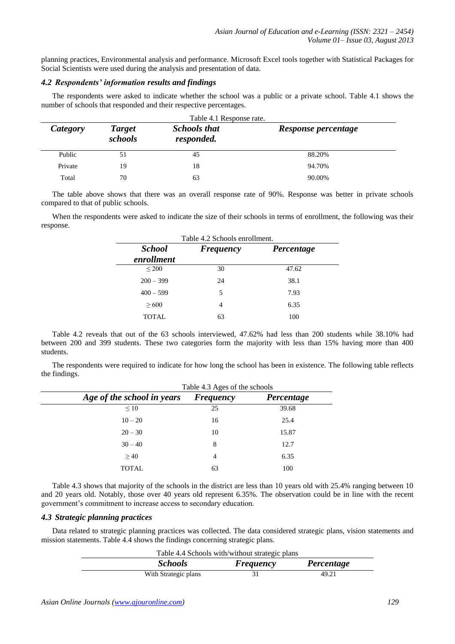planning practices, Environmental analysis and performance. Microsoft Excel tools together with Statistical Packages for Social Scientists were used during the analysis and presentation of data.

# *4.2 Respondents' information results and findings*

The respondents were asked to indicate whether the school was a public or a private school. Table 4.1 shows the number of schools that responded and their respective percentages.

| Table 4.1 Response rate. |                                                               |    |                     |  |  |  |
|--------------------------|---------------------------------------------------------------|----|---------------------|--|--|--|
| Category                 | <b>Schools that</b><br><b>Target</b><br>schools<br>responded. |    | Response percentage |  |  |  |
| Public                   |                                                               | 45 | 88.20%              |  |  |  |
| Private                  | 19                                                            | 18 | 94.70%              |  |  |  |
| Total                    | 70                                                            | 63 | 90.00%              |  |  |  |

The table above shows that there was an overall response rate of 90%. Response was better in private schools compared to that of public schools.

When the respondents were asked to indicate the size of their schools in terms of enrollment, the following was their response.

| <b>School</b> | <b>Frequency</b> | Percentage |
|---------------|------------------|------------|
| enrollment    |                  |            |
| $\leq$ 200    | 30               | 47.62      |
| $200 - 399$   | 24               | 38.1       |
| $400 - 599$   | 5                | 7.93       |
| > 600         | 4                | 6.35       |
| TOTAL         | 63               | 100        |

Table 4.2 reveals that out of the 63 schools interviewed, 47.62% had less than 200 students while 38.10% had between 200 and 399 students. These two categories form the majority with less than 15% having more than 400 students.

The respondents were required to indicate for how long the school has been in existence. The following table reflects the findings.

|                            | Table 4.3 Ages of the schools |            |  |  |  |  |
|----------------------------|-------------------------------|------------|--|--|--|--|
| Age of the school in years | <b>Frequency</b>              | Percentage |  |  |  |  |
| $\leq 10$                  | 25                            | 39.68      |  |  |  |  |
| $10 - 20$                  | 16                            | 25.4       |  |  |  |  |
| $20 - 30$                  | 10                            | 15.87      |  |  |  |  |
| $30 - 40$                  | 8                             | 12.7       |  |  |  |  |
| >40                        | $\overline{4}$                | 6.35       |  |  |  |  |
| TOTAL                      | 63                            | 100        |  |  |  |  |

Table 4.3 shows that majority of the schools in the district are less than 10 years old with 25.4% ranging between 10 and 20 years old. Notably, those over 40 years old represent 6.35%. The observation could be in line with the recent government's commitment to increase access to secondary education.

# *4.3 Strategic planning practices*

÷,

Data related to strategic planning practices was collected. The data considered strategic plans, vision statements and mission statements. Table 4.4 shows the findings concerning strategic plans.

| Table 4.4 Schools with/without strategic plans |                  |            |  |  |  |
|------------------------------------------------|------------------|------------|--|--|--|
| <i><b>Schools</b></i>                          | <b>Frequency</b> | Percentage |  |  |  |
| With Strategic plans                           |                  | 49.21      |  |  |  |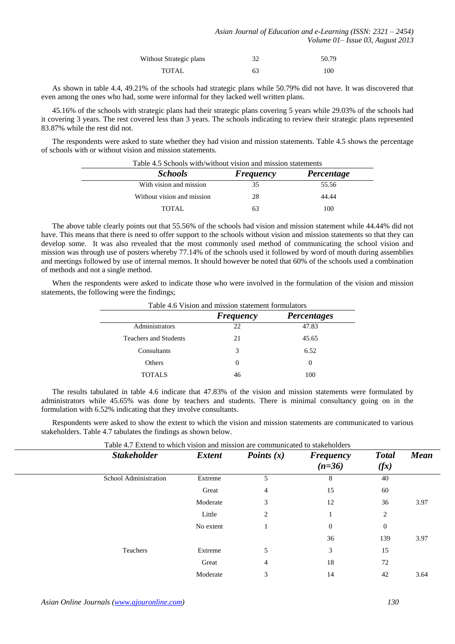| Without Strategic plans | 32 | 50.79 |
|-------------------------|----|-------|
| TOTAL                   | 63 | 100   |

As shown in table 4.4, 49.21% of the schools had strategic plans while 50.79% did not have. It was discovered that even among the ones who had, some were informal for they lacked well written plans.

45.16% of the schools with strategic plans had their strategic plans covering 5 years while 29.03% of the schools had it covering 3 years. The rest covered less than 3 years. The schools indicating to review their strategic plans represented 83.87% while the rest did not.

The respondents were asked to state whether they had vision and mission statements. Table 4.5 shows the percentage of schools with or without vision and mission statements.

| Table 4.5 Schools with/without vision and mission statements |                                |       |  |  |  |  |
|--------------------------------------------------------------|--------------------------------|-------|--|--|--|--|
| <i><b>Schools</b></i>                                        | <b>Frequency</b><br>Percentage |       |  |  |  |  |
| With vision and mission                                      | 35                             | 55.56 |  |  |  |  |
| Without vision and mission                                   | 28                             | 44.44 |  |  |  |  |
| TOTAL                                                        | 63                             | 100   |  |  |  |  |

The above table clearly points out that 55.56% of the schools had vision and mission statement while 44.44% did not have. This means that there is need to offer support to the schools without vision and mission statements so that they can develop some. It was also revealed that the most commonly used method of communicating the school vision and mission was through use of posters whereby 77.14% of the schools used it followed by word of mouth during assemblies and meetings followed by use of internal memos. It should however be noted that 60% of the schools used a combination of methods and not a single method.

When the respondents were asked to indicate those who were involved in the formulation of the vision and mission statements, the following were the findings;

|                              | <b>Frequency</b> | <b>Percentages</b> |
|------------------------------|------------------|--------------------|
| Administrators               | 22               | 47.83              |
| <b>Teachers and Students</b> | 21               | 45.65              |
| Consultants                  | 3                | 6.52               |
| Others                       | $\theta$         | $\theta$           |
| <b>TOTALS</b>                | 46               | 100                |

Table 4.6 Vision and mission statement formulators

The results tabulated in table 4.6 indicate that 47.83% of the vision and mission statements were formulated by administrators while 45.65% was done by teachers and students. There is minimal consultancy going on in the formulation with 6.52% indicating that they involve consultants.

Respondents were asked to show the extent to which the vision and mission statements are communicated to various stakeholders. Table 4.7 tabulates the findings as shown below.

| <b>Stakeholder</b>    | <b>Extent</b> | Points $(x)$ | <b>Frequency</b><br>$(n=36)$ | <b>Total</b><br>(fx) | <b>Mean</b> |
|-----------------------|---------------|--------------|------------------------------|----------------------|-------------|
| School Administration | Extreme       | C            | 8                            | 40                   |             |
|                       | Great         | 4            | 15                           | 60                   |             |
|                       | Moderate      | 3            | 12                           | 36                   | 3.97        |
|                       | Little        | 2            |                              | 2                    |             |
|                       | No extent     |              | $\boldsymbol{0}$             | $\overline{0}$       |             |
|                       |               |              | 36                           | 139                  | 3.97        |
| Teachers              | Extreme       | 5            | 3                            | 15                   |             |
|                       | Great         | 4            | 18                           | 72                   |             |
|                       | Moderate      | 3            | 14                           | 42                   | 3.64        |
|                       |               |              |                              |                      |             |

Table 4.7 Extend to which vision and mission are communicated to stakeholders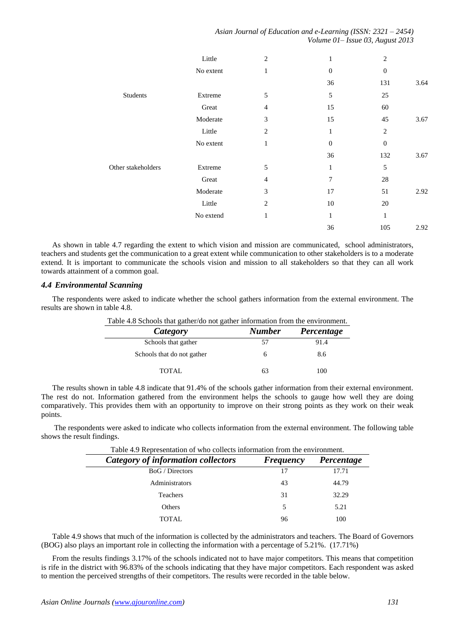*Asian Journal of Education and e-Learning (ISSN: 2321 – 2454) Volume 01– Issue 03, August 2013*

|                    | Little    | $\overline{2}$ | 1                | $\overline{2}$   |      |
|--------------------|-----------|----------------|------------------|------------------|------|
|                    | No extent | $\mathbf{1}$   | $\boldsymbol{0}$ | $\boldsymbol{0}$ |      |
|                    |           |                | 36               | 131              | 3.64 |
| Students           | Extreme   | 5              | 5                | 25               |      |
|                    | Great     | $\overline{4}$ | 15               | 60               |      |
|                    | Moderate  | 3              | 15               | 45               | 3.67 |
|                    | Little    | $\overline{2}$ | 1                | $\overline{2}$   |      |
|                    | No extent | $\mathbf{1}$   | $\boldsymbol{0}$ | $\boldsymbol{0}$ |      |
|                    |           |                | 36               | 132              | 3.67 |
| Other stakeholders | Extreme   | 5              | 1                | 5                |      |
|                    | Great     | $\overline{4}$ | 7                | 28               |      |
|                    | Moderate  | 3              | 17               | 51               | 2.92 |
|                    | Little    | 2              | 10               | 20               |      |
|                    | No extend | $\mathbf{1}$   | 1                | $\mathbf{1}$     |      |
|                    |           |                | 36               | 105              | 2.92 |

As shown in table 4.7 regarding the extent to which vision and mission are communicated, school administrators, teachers and students get the communication to a great extent while communication to other stakeholders is to a moderate extend. It is important to communicate the schools vision and mission to all stakeholders so that they can all work towards attainment of a common goal.

#### *4.4 Environmental Scanning*

The respondents were asked to indicate whether the school gathers information from the external environment. The results are shown in table 4.8.

| Table 4.8 Schools that gather/do not gather information from the environment. |  |  |  |
|-------------------------------------------------------------------------------|--|--|--|
|                                                                               |  |  |  |

| Category                   | <b>Number</b> | Percentage |
|----------------------------|---------------|------------|
| Schools that gather        | 57            | 91.4       |
| Schools that do not gather |               | 8.6        |
| TOTAL.                     | 63            | 100        |

The results shown in table 4.8 indicate that 91.4% of the schools gather information from their external environment. The rest do not. Information gathered from the environment helps the schools to gauge how well they are doing comparatively. This provides them with an opportunity to improve on their strong points as they work on their weak points.

The respondents were asked to indicate who collects information from the external environment. The following table shows the result findings.

| Table 4.9 Representation of who collects information from the environment. |                  |            |  |  |  |
|----------------------------------------------------------------------------|------------------|------------|--|--|--|
| Category of information collectors                                         | <b>Frequency</b> | Percentage |  |  |  |
| <b>BoG</b> / Directors                                                     | 17               | 17.71      |  |  |  |
| Administrators                                                             | 43               | 44.79      |  |  |  |
| Teachers                                                                   | 31               | 32.29      |  |  |  |
| <b>Others</b>                                                              | 5                | 5.21       |  |  |  |
| <b>TOTAL</b>                                                               | 96               | 100        |  |  |  |

Table 4.9 shows that much of the information is collected by the administrators and teachers. The Board of Governors (BOG) also plays an important role in collecting the information with a percentage of 5.21%. (17.71%)

From the results findings 3.17% of the schools indicated not to have major competitors. This means that competition is rife in the district with 96.83% of the schools indicating that they have major competitors. Each respondent was asked to mention the perceived strengths of their competitors. The results were recorded in the table below.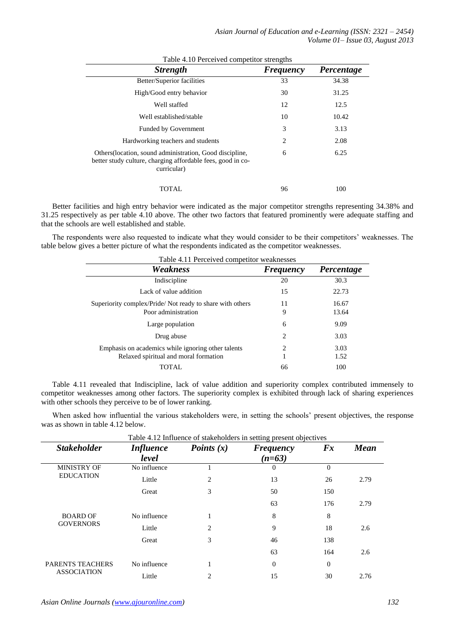| Table 4.10 Perceived competitor strengths                                                                                              |                  |            |  |
|----------------------------------------------------------------------------------------------------------------------------------------|------------------|------------|--|
| <b>Strength</b>                                                                                                                        | <b>Frequency</b> | Percentage |  |
| Better/Superior facilities                                                                                                             | 33               | 34.38      |  |
| High/Good entry behavior                                                                                                               | 30               | 31.25      |  |
| Well staffed                                                                                                                           | 12               | 12.5       |  |
| Well established/stable                                                                                                                | 10               | 10.42      |  |
| <b>Funded by Government</b>                                                                                                            | 3                | 3.13       |  |
| Hardworking teachers and students                                                                                                      | $\overline{2}$   | 2.08       |  |
| Others (location, sound administration, Good discipline,<br>better study culture, charging affordable fees, good in co-<br>curricular) | 6                | 6.25       |  |
| TOTAL                                                                                                                                  | 96               | 100        |  |

Better facilities and high entry behavior were indicated as the major competitor strengths representing 34.38% and 31.25 respectively as per table 4.10 above. The other two factors that featured prominently were adequate staffing and that the schools are well established and stable.

The respondents were also requested to indicate what they would consider to be their competitors' weaknesses. The table below gives a better picture of what the respondents indicated as the competitor weaknesses.

| Table 4.11 Perceived competitor weaknesses               |                             |            |  |
|----------------------------------------------------------|-----------------------------|------------|--|
| Weakness                                                 | <b>Frequency</b>            | Percentage |  |
| Indiscipline                                             | 20                          | 30.3       |  |
| Lack of value addition                                   | 15                          | 22.73      |  |
| Superiority complex/Pride/Not ready to share with others | 11                          | 16.67      |  |
| Poor administration                                      | 9                           | 13.64      |  |
| Large population                                         | 6                           | 9.09       |  |
| Drug abuse                                               | 2                           | 3.03       |  |
| Emphasis on academics while ignoring other talents       | $\mathcal{D}_{\mathcal{L}}$ | 3.03       |  |
| Relaxed spiritual and moral formation                    | 1                           | 1.52       |  |
| TOTAL                                                    | 66                          | 100        |  |

Table 4.11 revealed that Indiscipline, lack of value addition and superiority complex contributed immensely to competitor weaknesses among other factors. The superiority complex is exhibited through lack of sharing experiences with other schools they perceive to be of lower ranking.

When asked how influential the various stakeholders were, in setting the schools' present objectives, the response was as shown in table 4.12 below.

| Table 4.12 Influence of stakeholders in setting present objectives |                  |                |                  |          |             |
|--------------------------------------------------------------------|------------------|----------------|------------------|----------|-------------|
| <b>Stakeholder</b>                                                 | <i>Influence</i> | Points $(x)$   | <b>Frequency</b> | Fx       | <b>Mean</b> |
|                                                                    | level            |                | $(n=63)$         |          |             |
| <b>MINISTRY OF</b>                                                 | No influence     | 1              | $\overline{0}$   | $\Omega$ |             |
| <b>EDUCATION</b>                                                   | Little           | 2              | 13               | 26       | 2.79        |
|                                                                    | Great            | 3              | 50               | 150      |             |
|                                                                    |                  |                | 63               | 176      | 2.79        |
| <b>BOARD OF</b><br><b>GOVERNORS</b>                                | No influence     | 1              | 8                | 8        |             |
|                                                                    | Little           | $\overline{c}$ | 9                | 18       | 2.6         |
|                                                                    | Great            | 3              | 46               | 138      |             |
|                                                                    |                  |                | 63               | 164      | 2.6         |
| <b>PARENTS TEACHERS</b><br><b>ASSOCIATION</b>                      | No influence     | 1              | $\overline{0}$   | $\theta$ |             |
|                                                                    | Little           | $\overline{c}$ | 15               | 30       | 2.76        |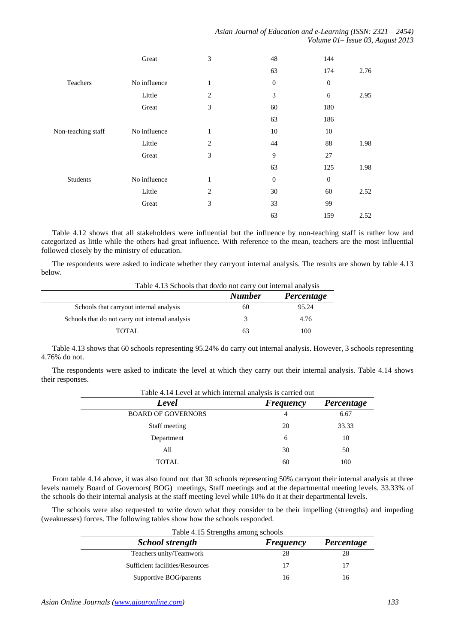|                    | Great        | 3              | 48               | 144              |      |
|--------------------|--------------|----------------|------------------|------------------|------|
|                    |              |                | 63               | 174              | 2.76 |
| Teachers           | No influence | $\mathbf{1}$   | $\boldsymbol{0}$ | $\boldsymbol{0}$ |      |
|                    | Little       | 2              | 3                | 6                | 2.95 |
|                    | Great        | 3              | 60               | 180              |      |
|                    |              |                | 63               | 186              |      |
| Non-teaching staff | No influence | $\mathbf{1}$   | 10               | 10               |      |
|                    | Little       | $\overline{2}$ | 44               | $88\,$           | 1.98 |
|                    | Great        | 3              | 9                | 27               |      |
|                    |              |                | 63               | 125              | 1.98 |
| Students           | No influence | $\mathbf{1}$   | $\mathbf{0}$     | $\boldsymbol{0}$ |      |
|                    | Little       | $\overline{2}$ | 30               | 60               | 2.52 |
|                    | Great        | 3              | 33               | 99               |      |
|                    |              |                | 63               | 159              | 2.52 |

Table 4.12 shows that all stakeholders were influential but the influence by non-teaching staff is rather low and categorized as little while the others had great influence. With reference to the mean, teachers are the most influential followed closely by the ministry of education.

The respondents were asked to indicate whether they carryout internal analysis. The results are shown by table 4.13 below.

| Table 4.13 Schools that do/do not carry out internal analysis |               |            |  |
|---------------------------------------------------------------|---------------|------------|--|
|                                                               | <b>Number</b> | Percentage |  |
| Schools that carryout internal analysis                       | 60            | 95.24      |  |
| Schools that do not carry out internal analysis               | 3             | 4.76       |  |
| <b>TOTAL</b>                                                  | 63            | 100        |  |

Table 4.13 shows that 60 schools representing 95.24% do carry out internal analysis. However, 3 schools representing 4.76% do not.

The respondents were asked to indicate the level at which they carry out their internal analysis. Table 4.14 shows their responses.

| Level                     | <b>Frequency</b> | Percentage |
|---------------------------|------------------|------------|
| <b>BOARD OF GOVERNORS</b> | 4                | 6.67       |
| Staff meeting             | 20               | 33.33      |
| Department                | 6                | 10         |
| All                       | 30               | 50         |
| <b>TOTAL</b>              | 60               | 100        |

From table 4.14 above, it was also found out that 30 schools representing 50% carryout their internal analysis at three levels namely Board of Governors( BOG) meetings, Staff meetings and at the departmental meeting levels. 33.33% of the schools do their internal analysis at the staff meeting level while 10% do it at their departmental levels.

The schools were also requested to write down what they consider to be their impelling (strengths) and impeding (weaknesses) forces. The following tables show how the schools responded.

| Table 4.15 Strengths among schools |                  |            |
|------------------------------------|------------------|------------|
| <b>School strength</b>             | <b>Frequency</b> | Percentage |
| Teachers unity/Teamwork            | 28               | 28         |
| Sufficient facilities/Resources    | 17               |            |
| Supportive BOG/parents             | 16               |            |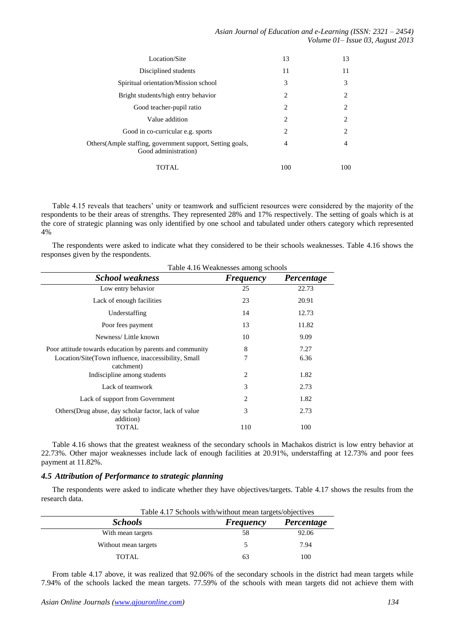| Location/Site                                                                      | 13                            | 13             |
|------------------------------------------------------------------------------------|-------------------------------|----------------|
| Disciplined students                                                               | 11                            | 11             |
| Spiritual orientation/Mission school                                               | 3                             | 3              |
| Bright students/high entry behavior                                                | 2                             | $\overline{c}$ |
| Good teacher-pupil ratio                                                           | 2                             | $\overline{c}$ |
| Value addition                                                                     | $\mathfrak{D}_{\mathfrak{p}}$ | 2              |
| Good in co-curricular e.g. sports                                                  | 2                             | $\overline{c}$ |
| Others (Ample staffing, government support, Setting goals,<br>Good administration) | 4                             | $\overline{4}$ |
| TOTAL                                                                              | 100                           | 100            |

Table 4.15 reveals that teachers" unity or teamwork and sufficient resources were considered by the majority of the respondents to be their areas of strengths. They represented 28% and 17% respectively. The setting of goals which is at the core of strategic planning was only identified by one school and tabulated under others category which represented 4%

The respondents were asked to indicate what they considered to be their schools weaknesses. Table 4.16 shows the responses given by the respondents.

| Table 4.16 Weaknesses among schools                                |                             |            |
|--------------------------------------------------------------------|-----------------------------|------------|
| <b>School weakness</b>                                             | <b>Frequency</b>            | Percentage |
| Low entry behavior                                                 | 25                          | 22.73      |
| Lack of enough facilities                                          | 23                          | 20.91      |
| Understaffing                                                      | 14                          | 12.73      |
| Poor fees payment                                                  | 13                          | 11.82      |
| Newness/Little known                                               | 10                          | 9.09       |
| Poor attitude towards education by parents and community           | 8                           | 7.27       |
| Location/Site(Town influence, inaccessibility, Small<br>catchment) | 7                           | 6.36       |
| Indiscipline among students                                        | 2                           | 1.82       |
| Lack of teamwork                                                   | 3                           | 2.73       |
| Lack of support from Government                                    | $\mathcal{D}_{\mathcal{L}}$ | 1.82       |
| Others (Drug abuse, day scholar factor, lack of value<br>addition) | 3                           | 2.73       |
| TOTAL                                                              | 110                         | 100        |

Table 4.16 shows that the greatest weakness of the secondary schools in Machakos district is low entry behavior at 22.73%. Other major weaknesses include lack of enough facilities at 20.91%, understaffing at 12.73% and poor fees payment at 11.82%.

# *4.5 Attribution of Performance to strategic planning*

The respondents were asked to indicate whether they have objectives/targets. Table 4.17 shows the results from the research data.

| Table 4.17 Schools with/without mean targets/objectives |                  |            |  |
|---------------------------------------------------------|------------------|------------|--|
| <b>Schools</b>                                          | <b>Frequency</b> | Percentage |  |
| With mean targets                                       | 58               | 92.06      |  |
| Without mean targets                                    |                  | 7.94       |  |
| TOTAL.                                                  | 63               | 100        |  |

From table 4.17 above, it was realized that 92.06% of the secondary schools in the district had mean targets while 7.94% of the schools lacked the mean targets. 77.59% of the schools with mean targets did not achieve them with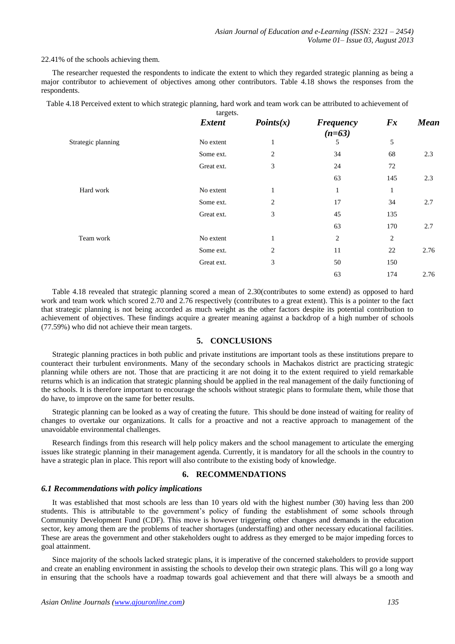22.41% of the schools achieving them.

The researcher requested the respondents to indicate the extent to which they regarded strategic planning as being a major contributor to achievement of objectives among other contributors. Table 4.18 shows the responses from the respondents.

Table 4.18 Perceived extent to which strategic planning, hard work and team work can be attributed to achievement of

|                    | targets.      |                |                              |              |             |
|--------------------|---------------|----------------|------------------------------|--------------|-------------|
|                    | <b>Extent</b> | Points(x)      | <b>Frequency</b><br>$(n=63)$ | Fx           | <b>Mean</b> |
| Strategic planning | No extent     | 1              | 5                            | 5            |             |
|                    | Some ext.     | 2              | 34                           | 68           | 2.3         |
|                    | Great ext.    | 3              | 24                           | 72           |             |
|                    |               |                | 63                           | 145          | 2.3         |
| Hard work          | No extent     | 1              | 1                            | $\mathbf{1}$ |             |
|                    | Some ext.     | $\overline{2}$ | 17                           | 34           | 2.7         |
|                    | Great ext.    | 3              | 45                           | 135          |             |
|                    |               |                | 63                           | 170          | 2.7         |
| Team work          | No extent     | 1              | 2                            | 2            |             |
|                    | Some ext.     | $\overline{2}$ | 11                           | 22           | 2.76        |
|                    | Great ext.    | 3              | 50                           | 150          |             |
|                    |               |                | 63                           | 174          | 2.76        |

Table 4.18 revealed that strategic planning scored a mean of 2.30(contributes to some extend) as opposed to hard work and team work which scored 2.70 and 2.76 respectively (contributes to a great extent). This is a pointer to the fact that strategic planning is not being accorded as much weight as the other factors despite its potential contribution to achievement of objectives. These findings acquire a greater meaning against a backdrop of a high number of schools (77.59%) who did not achieve their mean targets.

# **5. CONCLUSIONS**

Strategic planning practices in both public and private institutions are important tools as these institutions prepare to counteract their turbulent environments. Many of the secondary schools in Machakos district are practicing strategic planning while others are not. Those that are practicing it are not doing it to the extent required to yield remarkable returns which is an indication that strategic planning should be applied in the real management of the daily functioning of the schools. It is therefore important to encourage the schools without strategic plans to formulate them, while those that do have, to improve on the same for better results.

Strategic planning can be looked as a way of creating the future. This should be done instead of waiting for reality of changes to overtake our organizations. It calls for a proactive and not a reactive approach to management of the unavoidable environmental challenges.

Research findings from this research will help policy makers and the school management to articulate the emerging issues like strategic planning in their management agenda. Currently, it is mandatory for all the schools in the country to have a strategic plan in place. This report will also contribute to the existing body of knowledge.

## **6. RECOMMENDATIONS**

#### *6.1 Recommendations with policy implications*

It was established that most schools are less than 10 years old with the highest number (30) having less than 200 students. This is attributable to the government"s policy of funding the establishment of some schools through Community Development Fund (CDF). This move is however triggering other changes and demands in the education sector, key among them are the problems of teacher shortages (understaffing) and other necessary educational facilities. These are areas the government and other stakeholders ought to address as they emerged to be major impeding forces to goal attainment.

Since majority of the schools lacked strategic plans, it is imperative of the concerned stakeholders to provide support and create an enabling environment in assisting the schools to develop their own strategic plans. This will go a long way in ensuring that the schools have a roadmap towards goal achievement and that there will always be a smooth and